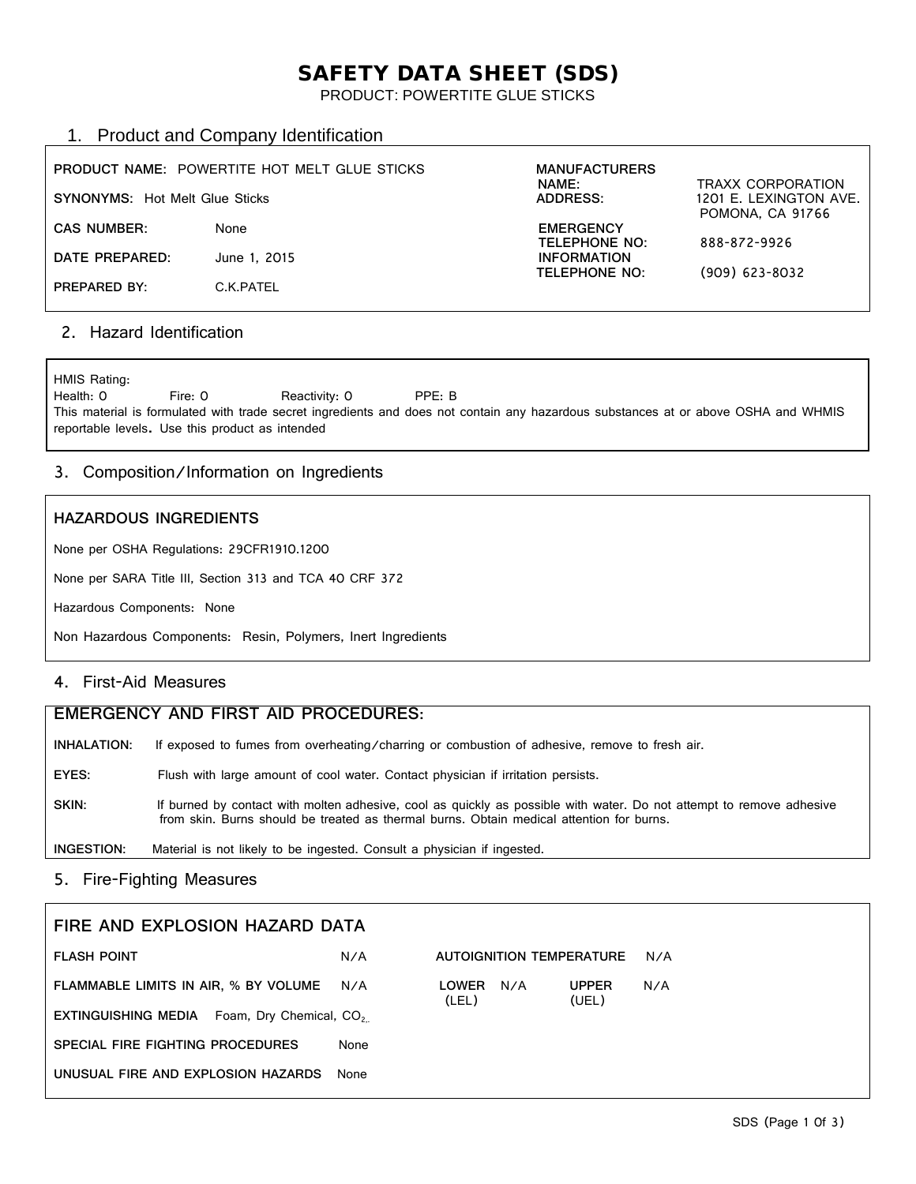# SAFETY DATA SHEET (SDS)

PRODUCT: POWERTITE GLUE STICKS

# 1. Product and Company Identification

| <b>SYNONYMS: Hot Melt Glue Sticks</b> | <b>PRODUCT NAME: POWERTITE HOT MELT GLUE STICKS</b> | <b>MANUFACTURERS</b><br>NAME:<br>ADDRESS: | <b>TRAXX CORPORATION</b><br>1201 E. LEXINGTON AVE.<br><b>POMONA, CA 91766</b> |
|---------------------------------------|-----------------------------------------------------|-------------------------------------------|-------------------------------------------------------------------------------|
| <b>CAS NUMBER:</b>                    | None                                                | <b>EMERGENCY</b><br><b>TELEPHONE NO:</b>  | 888-872-9926                                                                  |
| DATE PREPARED:                        | June 1, 2015                                        | <b>INFORMATION</b><br>TELEPHONE NO:       |                                                                               |
| PREPARED BY:                          | C.K.PATEL                                           |                                           | $(909)$ 623-8032                                                              |

## 2. Hazard Identification

HMIS Rating:<br>Health: 0 Fire: 0 Reactivity: 0 PPE: B This material is formulated with trade secret ingredients and does not contain any hazardous substances at or above OSHA and WHMIS reportable levels. Use this product as intended

#### 3. Composition/Information on Ingredients

#### **HAZARDOUS INGREDIENTS**

None per OSHA Regulations: 29CFR1910.1200

None per SARA Title III, Section 313 and TCA 40 CRF 372

Hazardous Components: None

Non Hazardous Components: Resin, Polymers, Inert Ingredients

# 4. First-Aid Measures

| EMERGENCY AND FIRST AID PROCEDURES: |                                                                                                                                                                                                                  |  |  |  |
|-------------------------------------|------------------------------------------------------------------------------------------------------------------------------------------------------------------------------------------------------------------|--|--|--|
| INHALATION:                         | If exposed to fumes from overheating/charring or combustion of adhesive, remove to fresh air.                                                                                                                    |  |  |  |
| EYES:                               | Flush with large amount of cool water. Contact physician if irritation persists.                                                                                                                                 |  |  |  |
| SKIN:                               | If burned by contact with molten adhesive, cool as quickly as possible with water. Do not attempt to remove adhesive<br>from skin. Burns should be treated as thermal burns. Obtain medical attention for burns. |  |  |  |
| INGESTION:                          | Material is not likely to be ingested. Consult a physician if ingested.                                                                                                                                          |  |  |  |

### 5. Fire-Fighting Measures

| FIRE AND EXPLOSION HAZARD DATA                             |      |                              |                       |     |
|------------------------------------------------------------|------|------------------------------|-----------------------|-----|
| <b>FLASH POINT</b>                                         | N/A  | AUTOIGNITION TEMPERATURE     |                       | N/A |
| FLAMMABLE LIMITS IN AIR, % BY VOLUME                       | N/A  | N/A<br><b>LOWER</b><br>(LEL) | <b>UPPER</b><br>(UEL) | N/A |
| Foam, Dry Chemical, CO <sub>2</sub><br>EXTINGUISHING MEDIA |      |                              |                       |     |
| SPECIAL FIRE FIGHTING PROCEDURES                           | None |                              |                       |     |
| UNUSUAL FIRE AND EXPLOSION HAZARDS                         | None |                              |                       |     |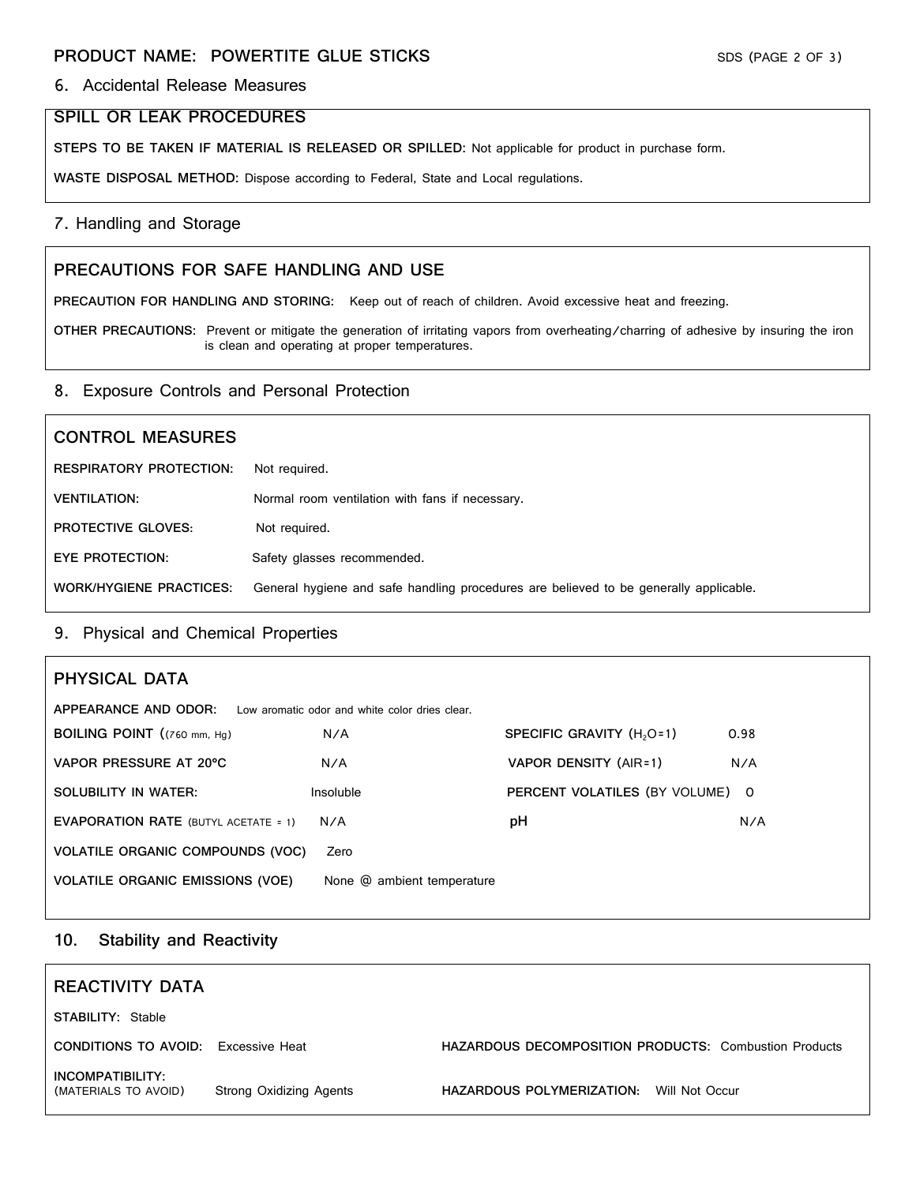#### 6. Accidental Release Measures

#### **SPILL OR LEAK PROCEDURES**

**STEPS TO BE TAKEN IF MATERIAL IS RELEASED OR SPILLED:** Not applicable for product in purchase form.

**WASTE DISPOSAL METHOD:** Dispose according to Federal, State and Local regulations.

#### 7. Handling and Storage

#### **PRECAUTIONS FOR SAFE HANDLING AND USE**

**PRECAUTION FOR HANDLING AND STORING:** Keep out of reach of children. Avoid excessive heat and freezing.

**OTHER PRECAUTIONS:** Prevent or mitigate the generation of irritating vapors from overheating/charring of adhesive by insuring the iron is clean and operating at proper temperatures.

#### 8. Exposure Controls and Personal Protection

# **CONTROL MEASURES RESPIRATORY PROTECTION:** Not required. **VENTILATION:** Normal room ventilation with fans if necessary. **PROTECTIVE GLOVES:** Not required. **EYE PROTECTION:** Safety glasses recommended. **WORK/HYGIENE PRACTICES:** General hygiene and safe handling procedures are believed to be generally applicable.

#### 9. Physical and Chemical Properties

| PHYSICAL DATA                               |                                                |                                       |      |
|---------------------------------------------|------------------------------------------------|---------------------------------------|------|
| APPEARANCE AND ODOR:                        | Low aromatic odor and white color dries clear. |                                       |      |
| BOILING POINT ((760 mm, Hg)                 | N/A                                            | SPECIFIC GRAVITY (H <sub>2</sub> O=1) | 0.98 |
| VAPOR PRESSURE AT 20°C                      | N/A                                            | VAPOR DENSITY (AIR=1)                 | N/A  |
| SOLUBILITY IN WATER:                        | Insoluble                                      | PERCENT VOLATILES (BY VOLUME) 0       |      |
| <b>EVAPORATION RATE (BUTYL ACETATE = 1)</b> | N/A                                            | рH                                    | N/A  |
| VOLATILE ORGANIC COMPOUNDS (VOC)            | Zero                                           |                                       |      |
| <b>VOLATILE ORGANIC EMISSIONS (VOE)</b>     | None @ ambient temperature                     |                                       |      |

## **10. Stability and Reactivity**

| REACTIVITY DATA                            |                         |                                                              |  |
|--------------------------------------------|-------------------------|--------------------------------------------------------------|--|
| <b>STABILITY: Stable</b>                   |                         |                                                              |  |
| <b>CONDITIONS TO AVOID:</b> Excessive Heat |                         | <b>HAZARDOUS DECOMPOSITION PRODUCTS: Combustion Products</b> |  |
| INCOMPATIBILITY:<br>(MATERIALS TO AVOID)   | Strong Oxidizing Agents | HAZARDOUS POLYMERIZATION:<br>Will Not Occur                  |  |